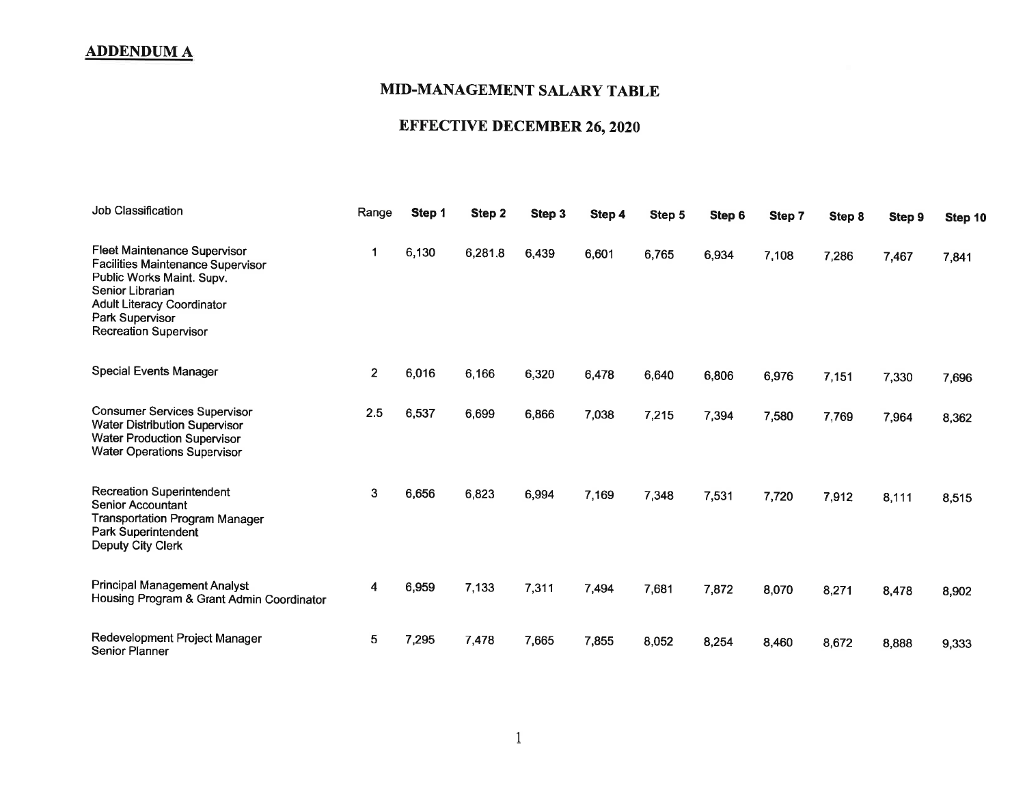## MID.MANAGEMENT SALARY TABLE

# EFFECTTVE DECEMBER 26, 2020

| Job Classification                                                                                                                                                                                                | Range          | Step 1 | Step 2  | Step 3 | Step 4 | Step 5 | Step 6 | Step 7 | Step 8 | Step 9 | Step 10 |
|-------------------------------------------------------------------------------------------------------------------------------------------------------------------------------------------------------------------|----------------|--------|---------|--------|--------|--------|--------|--------|--------|--------|---------|
| Fleet Maintenance Supervisor<br><b>Facilities Maintenance Supervisor</b><br>Public Works Maint. Supv.<br>Senior Librarian<br><b>Adult Literacy Coordinator</b><br>Park Supervisor<br><b>Recreation Supervisor</b> | 1              | 6,130  | 6,281.8 | 6,439  | 6,601  | 6,765  | 6,934  | 7,108  | 7,286  | 7,467  | 7,841   |
| <b>Special Events Manager</b>                                                                                                                                                                                     | $\overline{2}$ | 6,016  | 6,166   | 6,320  | 6,478  | 6,640  | 6,806  | 6,976  | 7,151  | 7,330  | 7,696   |
| <b>Consumer Services Supervisor</b><br><b>Water Distribution Supervisor</b><br><b>Water Production Supervisor</b><br><b>Water Operations Supervisor</b>                                                           | 2.5            | 6,537  | 6,699   | 6,866  | 7,038  | 7,215  | 7,394  | 7,580  | 7,769  | 7,964  | 8,362   |
| <b>Recreation Superintendent</b><br><b>Senior Accountant</b><br><b>Transportation Program Manager</b><br>Park Superintendent<br>Deputy City Clerk                                                                 | 3              | 6,656  | 6,823   | 6,994  | 7,169  | 7,348  | 7,531  | 7,720  | 7,912  | 8,111  | 8,515   |
| <b>Principal Management Analyst</b><br>Housing Program & Grant Admin Coordinator                                                                                                                                  | 4              | 6,959  | 7,133   | 7,311  | 7,494  | 7,681  | 7,872  | 8,070  | 8,271  | 8,478  | 8,902   |
| Redevelopment Project Manager<br><b>Senior Planner</b>                                                                                                                                                            | 5 <sup>5</sup> | 7,295  | 7,478   | 7,665  | 7,855  | 8,052  | 8,254  | 8,460  | 8,672  | 8,888  | 9,333   |

1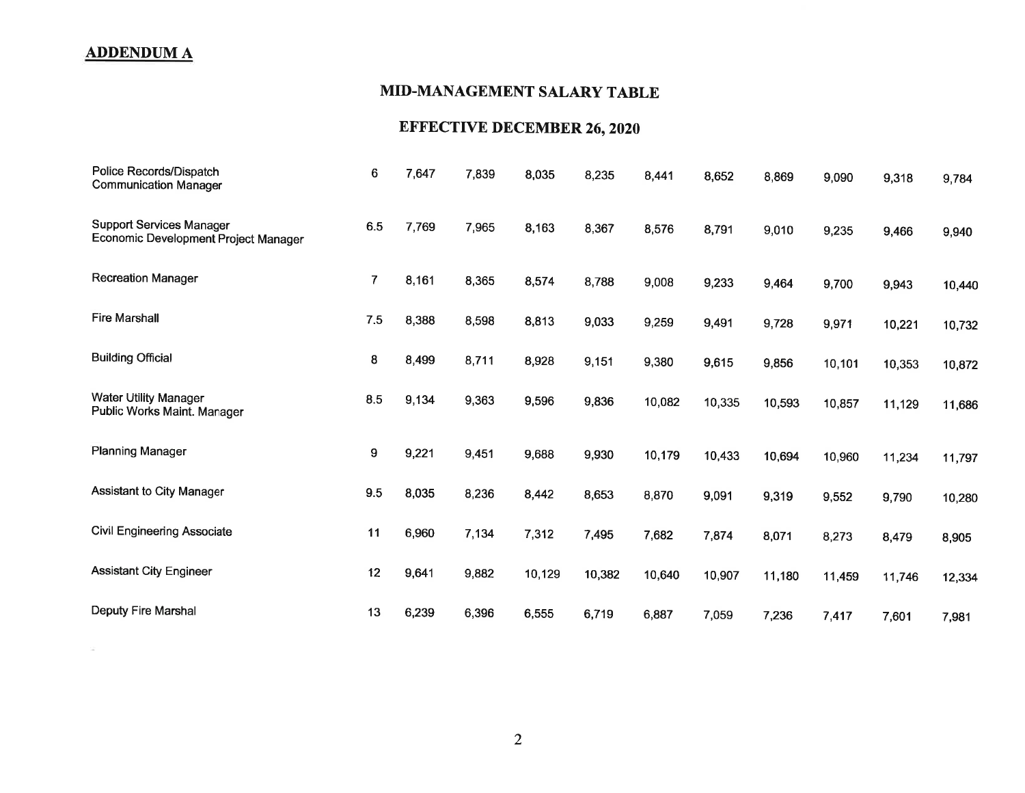$\mathcal{L}_{\rm{m}}$ 

# MID.MANAGEMENT SALARY TABLE

# EFFECTIVE DECEMBER 26, 2O2O

| Police Records/Dispatch<br><b>Communication Manager</b>                 | 6              | 7,647 | 7,839 | 8,035  | 8,235  | 8,441  | 8,652  | 8,869  | 9,090  | 9,318  | 9,784  |
|-------------------------------------------------------------------------|----------------|-------|-------|--------|--------|--------|--------|--------|--------|--------|--------|
| <b>Support Services Manager</b><br>Economic Development Project Manager | 6.5            | 7,769 | 7,965 | 8,163  | 8,367  | 8,576  | 8,791  | 9,010  | 9,235  | 9,466  | 9,940  |
| <b>Recreation Manager</b>                                               | $\overline{7}$ | 8,161 | 8,365 | 8,574  | 8,788  | 9,008  | 9,233  | 9,464  | 9,700  | 9,943  | 10,440 |
| <b>Fire Marshall</b>                                                    | 7.5            | 8,388 | 8,598 | 8,813  | 9,033  | 9,259  | 9,491  | 9,728  | 9,971  | 10,221 | 10,732 |
| <b>Building Official</b>                                                | 8              | 8,499 | 8,711 | 8,928  | 9,151  | 9,380  | 9,615  | 9,856  | 10,101 | 10,353 | 10,872 |
| <b>Water Utility Manager</b><br>Public Works Maint. Manager             | 8.5            | 9,134 | 9,363 | 9,596  | 9,836  | 10,082 | 10,335 | 10,593 | 10,857 | 11,129 | 11,686 |
| <b>Planning Manager</b>                                                 | 9              | 9,221 | 9,451 | 9,688  | 9,930  | 10,179 | 10,433 | 10,694 | 10,960 | 11,234 | 11,797 |
| <b>Assistant to City Manager</b>                                        | 9.5            | 8,035 | 8,236 | 8,442  | 8,653  | 8,870  | 9,091  | 9,319  | 9,552  | 9,790  | 10,280 |
| <b>Civil Engineering Associate</b>                                      | 11             | 6,960 | 7,134 | 7,312  | 7,495  | 7,682  | 7,874  | 8,071  | 8,273  | 8,479  | 8,905  |
| <b>Assistant City Engineer</b>                                          | 12             | 9,641 | 9,882 | 10,129 | 10,382 | 10,640 | 10,907 | 11,180 | 11,459 | 11,746 | 12,334 |
| Deputy Fire Marshal                                                     | 13             | 6,239 | 6,396 | 6,555  | 6,719  | 6,887  | 7,059  | 7,236  | 7,417  | 7,601  | 7,981  |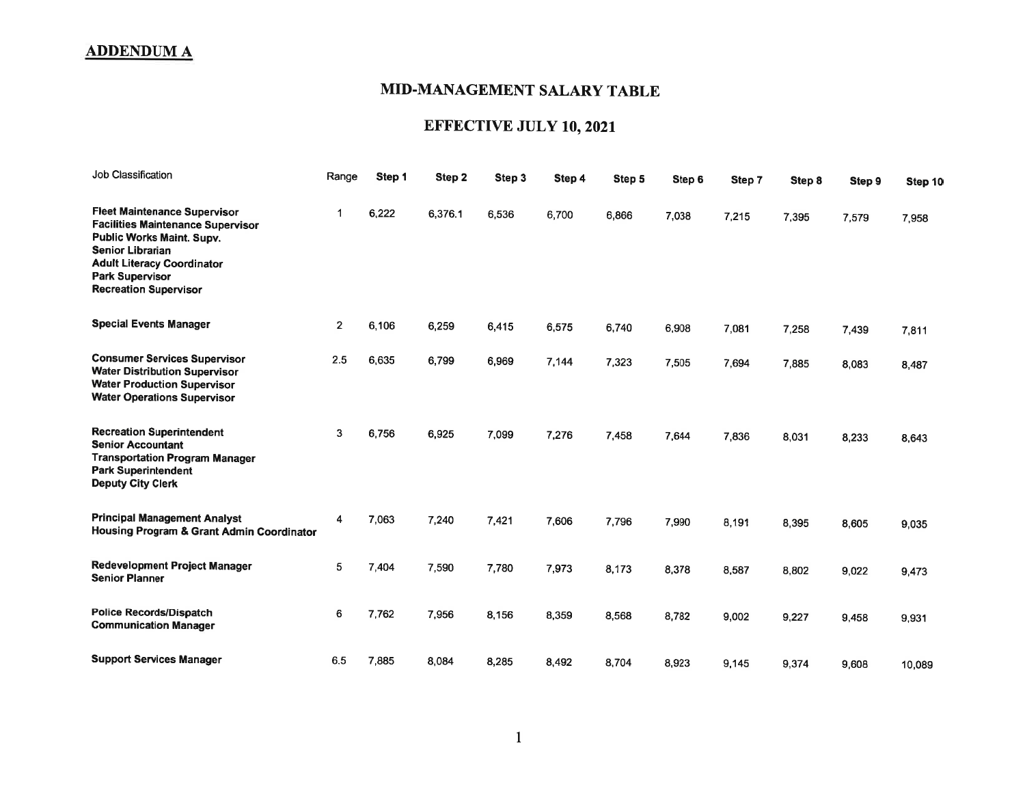## MID-MANAGEMENT SALARY TABLE

# EFFECTIVE JULY 10, 2021

| Job Classification                                                                                                                                                                                                                     | Range          | Step 1 | Step 2  | Step 3 | Step 4 | Step 5 | Step 6 | Step 7 | Step 8 | Step 9 | Step 10 |
|----------------------------------------------------------------------------------------------------------------------------------------------------------------------------------------------------------------------------------------|----------------|--------|---------|--------|--------|--------|--------|--------|--------|--------|---------|
| <b>Fleet Maintenance Supervisor</b><br><b>Facilities Maintenance Supervisor</b><br>Public Works Maint. Supv.<br><b>Senior Librarian</b><br><b>Adult Literacy Coordinator</b><br><b>Park Supervisor</b><br><b>Recreation Supervisor</b> | 1              | 6,222  | 6,376.1 | 6,536  | 6,700  | 6,866  | 7,038  | 7,215  | 7,395  | 7,579  | 7,958   |
| <b>Special Events Manager</b>                                                                                                                                                                                                          | $\overline{2}$ | 6,106  | 6,259   | 6,415  | 6,575  | 6,740  | 6,908  | 7,081  | 7,258  | 7,439  | 7,811   |
| <b>Consumer Services Supervisor</b><br><b>Water Distribution Supervisor</b><br><b>Water Production Supervisor</b><br><b>Water Operations Supervisor</b>                                                                                | 2.5            | 6,635  | 6,799   | 6,969  | 7,144  | 7,323  | 7,505  | 7,694  | 7,885  | 8,083  | 8,487   |
| <b>Recreation Superintendent</b><br><b>Senior Accountant</b><br><b>Transportation Program Manager</b><br><b>Park Superintendent</b><br><b>Deputy City Clerk</b>                                                                        | 3              | 6,756  | 6,925   | 7,099  | 7,276  | 7,458  | 7,644  | 7.836  | 8,031  | 8,233  | 8,643   |
| <b>Principal Management Analyst</b><br>Housing Program & Grant Admin Coordinator                                                                                                                                                       | 4              | 7,063  | 7,240   | 7,421  | 7,606  | 7,796  | 7,990  | 8,191  | 8.395  | 8,605  | 9,035   |
| Redevelopment Project Manager<br><b>Senior Planner</b>                                                                                                                                                                                 | 5              | 7,404  | 7,590   | 7,780  | 7,973  | 8,173  | 8,378  | 8,587  | 8,802  | 9,022  | 9,473   |
| <b>Police Records/Dispatch</b><br><b>Communication Manager</b>                                                                                                                                                                         | 6              | 7,762  | 7,956   | 8,156  | 8,359  | 8,568  | 8,782  | 9,002  | 9,227  | 9,458  | 9,931   |
| <b>Support Services Manager</b>                                                                                                                                                                                                        | 6.5            | 7,885  | 8.084   | 8,285  | 8,492  | 8,704  | 8,923  | 9,145  | 9,374  | 9,608  | 10,089  |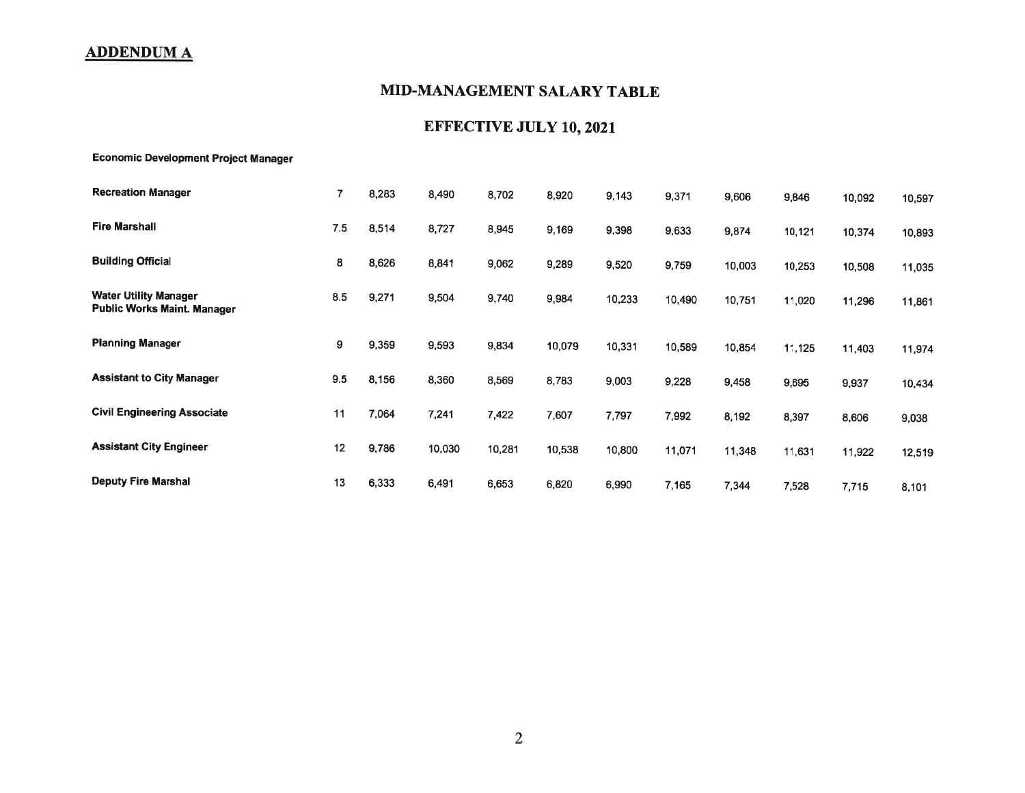## MID.MANAGEMENT SALARY TABLE

## EFFECTIVE JULY 10, 2021

Economic Development Proiect Manager

| <b>Recreation Manager</b>                                          | 7   | 8,283 | 8,490  | 8,702  | 8,920  | 9,143  | 9,371  | 9,606  | 9,846  | 10,092 | 10,597 |
|--------------------------------------------------------------------|-----|-------|--------|--------|--------|--------|--------|--------|--------|--------|--------|
| <b>Fire Marshall</b>                                               | 7.5 | 8,514 | 8,727  | 8,945  | 9,169  | 9,398  | 9,633  | 9,874  | 10,121 | 10,374 | 10,893 |
| <b>Building Official</b>                                           | 8   | 8,626 | 8,841  | 9,062  | 9,289  | 9,520  | 9,759  | 10,003 | 10,253 | 10,508 | 11,035 |
| <b>Water Utility Manager</b><br><b>Public Works Maint. Manager</b> | 8.5 | 9,271 | 9,504  | 9,740  | 9,984  | 10,233 | 10,490 | 10,751 | 11,020 | 11,296 | 11,861 |
| <b>Planning Manager</b>                                            | 9   | 9,359 | 9,593  | 9,834  | 10,079 | 10,331 | 10,589 | 10,854 | 11,125 | 11,403 | 11,974 |
| <b>Assistant to City Manager</b>                                   | 9.5 | 8,156 | 8,360  | 8,569  | 8,783  | 9,003  | 9,228  | 9,458  | 9,695  | 9,937  | 10,434 |
| <b>Civil Engineering Associate</b>                                 | 11  | 7,064 | 7,241  | 7,422  | 7,607  | 7,797  | 7,992  | 8,192  | 8,397  | 8,606  | 9,038  |
| <b>Assistant City Engineer</b>                                     | 12  | 9,786 | 10,030 | 10,281 | 10,538 | 10,800 | 11,071 | 11,348 | 11,631 | 11,922 | 12,519 |
| <b>Deputy Fire Marshal</b>                                         | 13  | 6,333 | 6,491  | 6,653  | 6,820  | 6,990  | 7,165  | 7,344  | 7,528  | 7,715  | 8,101  |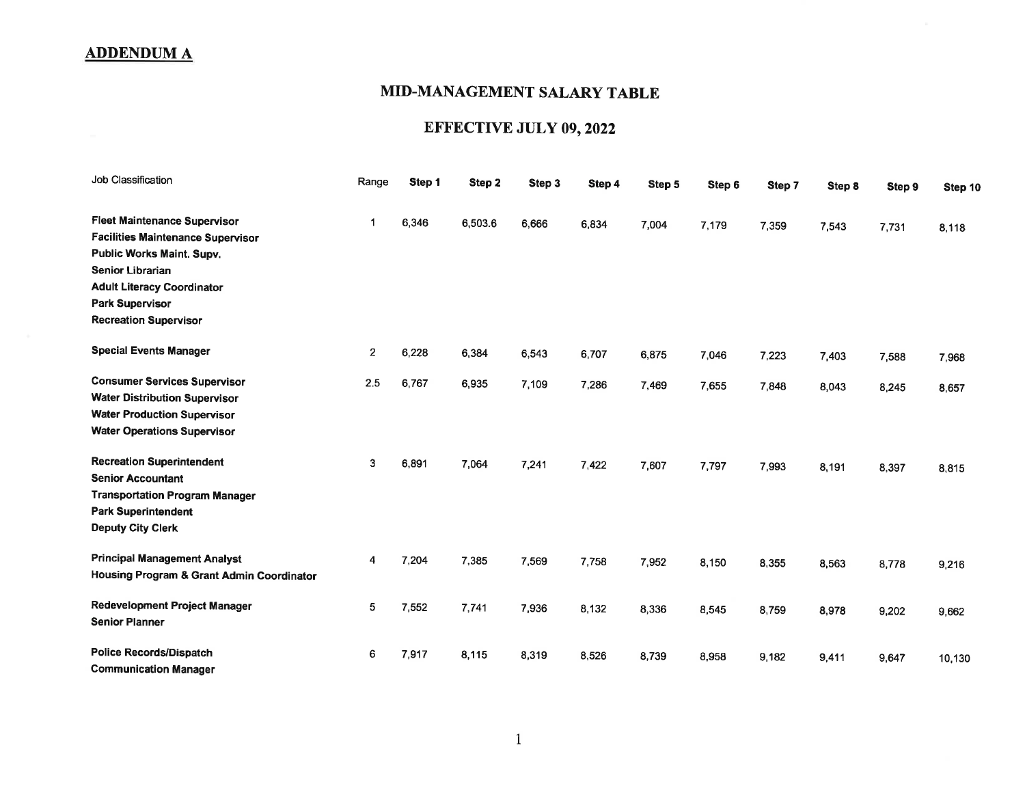#### MID.MANAGEMENT SALARY TABLE

# EFFECTIVE JULY 09, 2022

| Job Classification                                                                                                                                                                                                              | Range        | Step 1 | Step 2  | Step 3 | Step 4 | Step 5 | Step 6 | Step 7 | Step 8 | Step 9 | Step 10 |
|---------------------------------------------------------------------------------------------------------------------------------------------------------------------------------------------------------------------------------|--------------|--------|---------|--------|--------|--------|--------|--------|--------|--------|---------|
| <b>Fleet Maintenance Supervisor</b><br>Facilities Maintenance Supervisor<br>Public Works Maint. Supv.<br><b>Senior Librarian</b><br><b>Adult Literacy Coordinator</b><br><b>Park Supervisor</b><br><b>Recreation Supervisor</b> |              | 6,346  | 6,503.6 | 6,666  | 6,834  | 7,004  | 7,179  | 7,359  | 7,543  | 7,731  | 8,118   |
| <b>Special Events Manager</b>                                                                                                                                                                                                   | $\mathbf{2}$ | 6,228  | 6,384   | 6,543  | 6,707  | 6,875  | 7,046  | 7,223  | 7,403  | 7,588  | 7,968   |
| <b>Consumer Services Supervisor</b><br><b>Water Distribution Supervisor</b><br><b>Water Production Supervisor</b><br><b>Water Operations Supervisor</b>                                                                         | 2.5          | 6,767  | 6,935   | 7,109  | 7,286  | 7,469  | 7,655  | 7,848  | 8,043  | 8,245  | 8,657   |
| <b>Recreation Superintendent</b><br><b>Senior Accountant</b><br><b>Transportation Program Manager</b><br><b>Park Superintendent</b><br><b>Deputy City Clerk</b>                                                                 | 3            | 6,891  | 7,064   | 7,241  | 7,422  | 7,607  | 7,797  | 7,993  | 8,191  | 8,397  | 8,815   |
| <b>Principal Management Analyst</b><br>Housing Program & Grant Admin Coordinator                                                                                                                                                | 4            | 7,204  | 7,385   | 7,569  | 7,758  | 7,952  | 8,150  | 8,355  | 8,563  | 8,778  | 9,216   |
| Redevelopment Project Manager<br><b>Senior Planner</b>                                                                                                                                                                          | 5            | 7,552  | 7,741   | 7,936  | 8,132  | 8,336  | 8,545  | 8,759  | 8,978  | 9,202  | 9,662   |
| <b>Police Records/Dispatch</b><br><b>Communication Manager</b>                                                                                                                                                                  | 6            | 7,917  | 8,115   | 8,319  | 8,526  | 8,739  | 8,958  | 9,182  | 9,411  | 9,647  | 10,130  |

1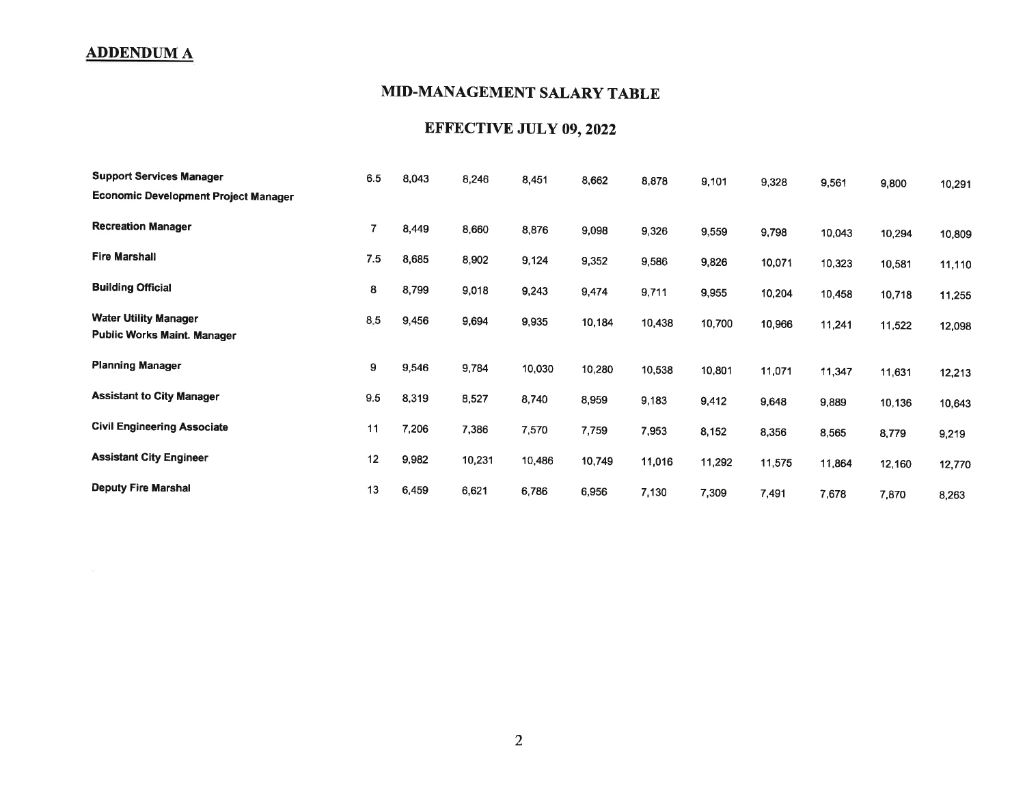## MID.MANAGEMENT SALARY TABLE

## EFFECTIVE JULY 09,2022

| <b>Support Services Manager</b>                                    | 6.5 | 8,043 | 8,246  | 8,451  | 8,662  | 8,878  | 9,101  | 9,328  | 9,561  | 9,800  | 10,291 |
|--------------------------------------------------------------------|-----|-------|--------|--------|--------|--------|--------|--------|--------|--------|--------|
| <b>Economic Development Project Manager</b>                        |     |       |        |        |        |        |        |        |        |        |        |
| <b>Recreation Manager</b>                                          | 7   | 8,449 | 8,660  | 8,876  | 9,098  | 9,326  | 9,559  | 9,798  | 10,043 | 10,294 | 10,809 |
| <b>Fire Marshall</b>                                               | 7.5 | 8,685 | 8,902  | 9,124  | 9,352  | 9,586  | 9,826  | 10,071 | 10,323 | 10,581 | 11,110 |
| <b>Building Official</b>                                           | 8   | 8,799 | 9,018  | 9,243  | 9,474  | 9,711  | 9,955  | 10,204 | 10,458 | 10,718 | 11,255 |
| <b>Water Utility Manager</b><br><b>Public Works Maint. Manager</b> | 8.5 | 9,456 | 9,694  | 9,935  | 10,184 | 10,438 | 10,700 | 10,966 | 11,241 | 11,522 | 12,098 |
| <b>Planning Manager</b>                                            | 9   | 9,546 | 9,784  | 10,030 | 10,280 | 10,538 | 10,801 | 11,071 | 11,347 | 11,631 | 12,213 |
| <b>Assistant to City Manager</b>                                   | 9.5 | 8,319 | 8,527  | 8,740  | 8,959  | 9,183  | 9,412  | 9,648  | 9,889  | 10,136 | 10,643 |
| <b>Civil Engineering Associate</b>                                 | 11  | 7,206 | 7,386  | 7,570  | 7,759  | 7,953  | 8,152  | 8,356  | 8,565  | 8,779  | 9,219  |
| <b>Assistant City Engineer</b>                                     | 12  | 9,982 | 10,231 | 10,486 | 10,749 | 11,016 | 11,292 | 11,575 | 11,864 | 12,160 | 12,770 |
| <b>Deputy Fire Marshal</b>                                         | 13  | 6,459 | 6,621  | 6,786  | 6,956  | 7,130  | 7,309  | 7,491  | 7,678  | 7,870  | 8,263  |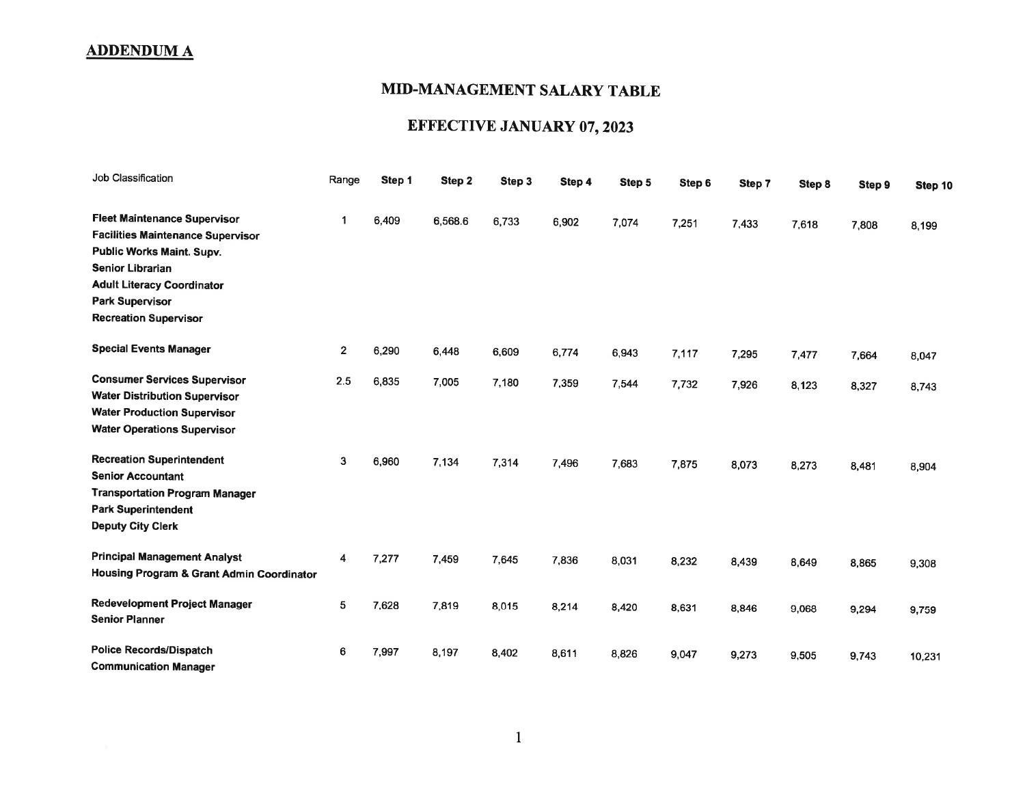## MID.MANAGEMENT SALARY TABLE

# EFFECTIVE JANUARY 07, 2023

| Job Classification                                                                                                                                                                                                                            | Range          | Step 1 | Step 2  | Step 3 | Step 4 | Step 5 | Step 6 | Step 7 | Step 8 | Step 9 | Step 10 |
|-----------------------------------------------------------------------------------------------------------------------------------------------------------------------------------------------------------------------------------------------|----------------|--------|---------|--------|--------|--------|--------|--------|--------|--------|---------|
| <b>Fleet Maintenance Supervisor</b><br><b>Facilities Maintenance Supervisor</b><br><b>Public Works Maint. Supv.</b><br><b>Senior Librarian</b><br><b>Adult Literacy Coordinator</b><br><b>Park Supervisor</b><br><b>Recreation Supervisor</b> | 1              | 6,409  | 6,568.6 | 6,733  | 6,902  | 7,074  | 7,251  | 7,433  | 7,618  | 7,808  | 8,199   |
| <b>Special Events Manager</b>                                                                                                                                                                                                                 | $\overline{2}$ | 6,290  | 6,448   | 6,609  | 6,774  | 6,943  | 7,117  | 7,295  | 7,477  | 7,664  | 8,047   |
| <b>Consumer Services Supervisor</b><br><b>Water Distribution Supervisor</b><br><b>Water Production Supervisor</b><br><b>Water Operations Supervisor</b>                                                                                       | 2.5            | 6,835  | 7,005   | 7,180  | 7,359  | 7,544  | 7,732  | 7,926  | 8,123  | 8,327  | 8,743   |
| <b>Recreation Superintendent</b><br><b>Senior Accountant</b><br><b>Transportation Program Manager</b><br><b>Park Superintendent</b><br><b>Deputy City Clerk</b>                                                                               | 3              | 6,960  | 7,134   | 7,314  | 7,496  | 7,683  | 7,875  | 8,073  | 8,273  | 8,481  | 8,904   |
| <b>Principal Management Analyst</b><br>Housing Program & Grant Admin Coordinator                                                                                                                                                              | 4              | 7,277  | 7,459   | 7,645  | 7,836  | 8,031  | 8,232  | 8,439  | 8,649  | 8,865  | 9.308   |
| Redevelopment Project Manager<br><b>Senior Planner</b>                                                                                                                                                                                        | 5              | 7,628  | 7,819   | 8,015  | 8,214  | 8,420  | 8,631  | 8,846  | 9,068  | 9,294  | 9,759   |
| <b>Police Records/Dispatch</b><br><b>Communication Manager</b>                                                                                                                                                                                | 6              | 7,997  | 8,197   | 8,402  | 8,611  | 8,826  | 9,047  | 9,273  | 9,505  | 9,743  | 10,231  |